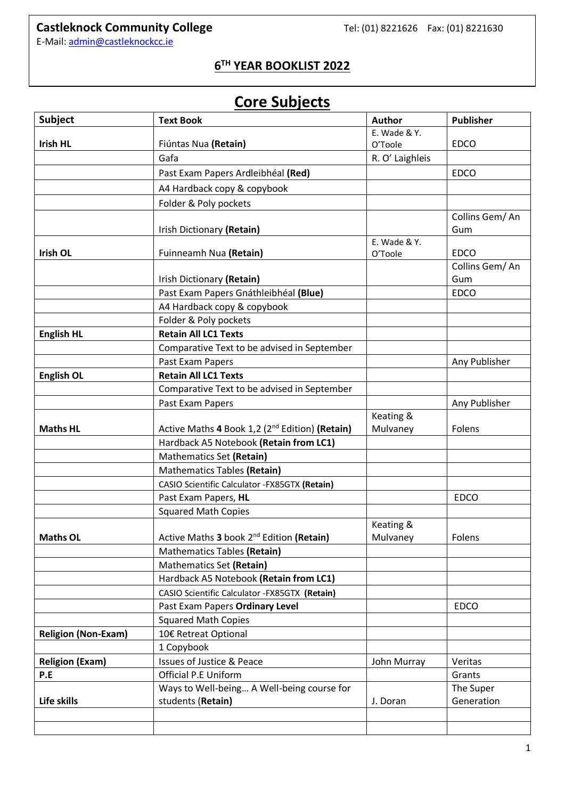## **Castleknock Community College** Tel: (01) 8221626 Fax: (01) 8221630

E-Mail[: admin@castleknockcc.ie](mailto:admin@castleknockcc.ie)

### **6 TH YEAR BOOKLIST 2022**

# **Core Subjects**

| <b>Subject</b>             | <b>Text Book</b>                                           | Author                  | <b>Publisher</b>      |
|----------------------------|------------------------------------------------------------|-------------------------|-----------------------|
|                            |                                                            | E. Wade & Y.            |                       |
| <b>Irish HL</b>            | Fiúntas Nua (Retain)                                       | O'Toole                 | <b>EDCO</b>           |
|                            | Gafa                                                       | R. O' Laighleis         |                       |
|                            | Past Exam Papers Ardleibhéal (Red)                         |                         | <b>EDCO</b>           |
|                            | A4 Hardback copy & copybook                                |                         |                       |
|                            | Folder & Poly pockets                                      |                         |                       |
|                            | Irish Dictionary (Retain)                                  |                         | Collins Gem/An<br>Gum |
| <b>Irish OL</b>            | Fuinneamh Nua (Retain)                                     | E. Wade & Y.<br>O'Toole | <b>EDCO</b>           |
|                            | Irish Dictionary (Retain)                                  |                         | Collins Gem/An<br>Gum |
|                            | Past Exam Papers Gnáthleibhéal (Blue)                      |                         | <b>EDCO</b>           |
|                            | A4 Hardback copy & copybook                                |                         |                       |
|                            | Folder & Poly pockets                                      |                         |                       |
| <b>English HL</b>          | <b>Retain All LC1 Texts</b>                                |                         |                       |
|                            | Comparative Text to be advised in September                |                         |                       |
|                            | Past Exam Papers                                           |                         | Any Publisher         |
| <b>English OL</b>          | <b>Retain All LC1 Texts</b>                                |                         |                       |
|                            | Comparative Text to be advised in September                |                         |                       |
|                            | Past Exam Papers                                           |                         | Any Publisher         |
|                            |                                                            | Keating &               |                       |
| <b>Maths HL</b>            | Active Maths 4 Book 1,2 (2 <sup>nd</sup> Edition) (Retain) | Mulvaney                | Folens                |
|                            | Hardback A5 Notebook (Retain from LC1)                     |                         |                       |
|                            | Mathematics Set (Retain)                                   |                         |                       |
|                            | <b>Mathematics Tables (Retain)</b>                         |                         |                       |
|                            | CASIO Scientific Calculator - FX85GTX (Retain)             |                         |                       |
|                            | Past Exam Papers, HL                                       |                         | <b>EDCO</b>           |
|                            | <b>Squared Math Copies</b>                                 |                         |                       |
| <b>Maths OL</b>            | Active Maths 3 book 2 <sup>nd</sup> Edition (Retain)       | Keating &<br>Mulvaney   | Folens                |
|                            | Mathematics Tables (Retain)                                |                         |                       |
|                            | Mathematics Set (Retain)                                   |                         |                       |
|                            | Hardback A5 Notebook (Retain from LC1)                     |                         |                       |
|                            | CASIO Scientific Calculator -FX85GTX (Retain)              |                         |                       |
|                            | Past Exam Papers Ordinary Level                            |                         | <b>EDCO</b>           |
|                            | <b>Squared Math Copies</b>                                 |                         |                       |
| <b>Religion (Non-Exam)</b> | 10€ Retreat Optional                                       |                         |                       |
|                            | 1 Copybook                                                 |                         |                       |
| <b>Religion (Exam)</b>     | <b>Issues of Justice &amp; Peace</b>                       | John Murray             | Veritas               |
| P.E                        | <b>Official P.E Uniform</b>                                |                         | Grants                |
|                            | Ways to Well-being A Well-being course for                 |                         | The Super             |
| Life skills                | students (Retain)                                          | J. Doran                | Generation            |
|                            |                                                            |                         |                       |
|                            |                                                            |                         |                       |
|                            |                                                            |                         |                       |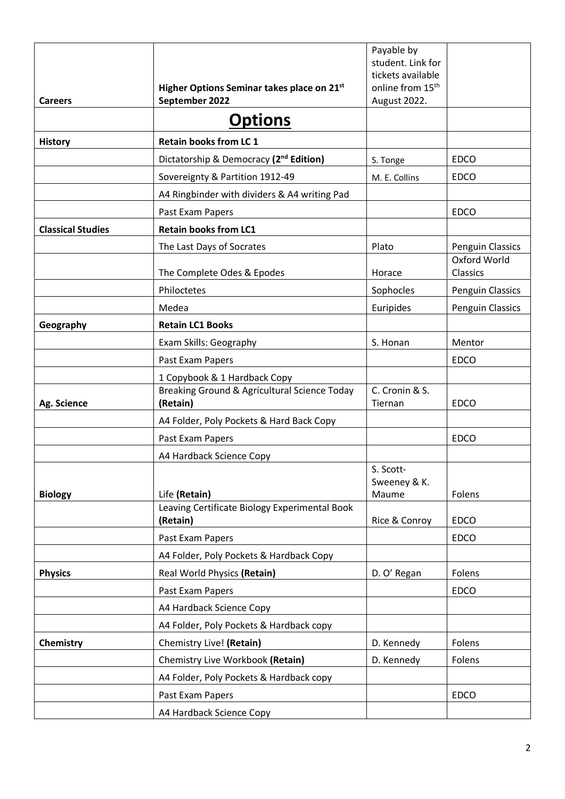|                          |                                                           | Payable by<br>student. Link for    |                          |
|--------------------------|-----------------------------------------------------------|------------------------------------|--------------------------|
|                          |                                                           | tickets available                  |                          |
|                          | Higher Options Seminar takes place on 21st                | online from 15 <sup>th</sup>       |                          |
| <b>Careers</b>           | September 2022                                            | August 2022.                       |                          |
|                          | <b>Options</b>                                            |                                    |                          |
| <b>History</b>           | <b>Retain books from LC 1</b>                             |                                    |                          |
|                          | Dictatorship & Democracy (2 <sup>nd</sup> Edition)        | S. Tonge                           | <b>EDCO</b>              |
|                          | Sovereignty & Partition 1912-49                           | M. E. Collins                      | <b>EDCO</b>              |
|                          | A4 Ringbinder with dividers & A4 writing Pad              |                                    |                          |
|                          | Past Exam Papers                                          |                                    | <b>EDCO</b>              |
| <b>Classical Studies</b> | <b>Retain books from LC1</b>                              |                                    |                          |
|                          | The Last Days of Socrates                                 | Plato                              | Penguin Classics         |
|                          | The Complete Odes & Epodes                                | Horace                             | Oxford World<br>Classics |
|                          | Philoctetes                                               | Sophocles                          | Penguin Classics         |
|                          | Medea                                                     | Euripides                          | Penguin Classics         |
| Geography                | <b>Retain LC1 Books</b>                                   |                                    |                          |
|                          | Exam Skills: Geography                                    | S. Honan                           | Mentor                   |
|                          | Past Exam Papers                                          |                                    | <b>EDCO</b>              |
|                          | 1 Copybook & 1 Hardback Copy                              |                                    |                          |
| Ag. Science              | Breaking Ground & Agricultural Science Today<br>(Retain)  | C. Cronin & S.<br>Tiernan          | <b>EDCO</b>              |
|                          | A4 Folder, Poly Pockets & Hard Back Copy                  |                                    |                          |
|                          | Past Exam Papers                                          |                                    | <b>EDCO</b>              |
|                          | A4 Hardback Science Copy                                  |                                    |                          |
| <b>Biology</b>           | Life (Retain)                                             | S. Scott-<br>Sweeney & K.<br>Maume | Folens                   |
|                          | Leaving Certificate Biology Experimental Book<br>(Retain) | Rice & Conroy                      | <b>EDCO</b>              |
|                          | Past Exam Papers                                          |                                    | <b>EDCO</b>              |
|                          | A4 Folder, Poly Pockets & Hardback Copy                   |                                    |                          |
| <b>Physics</b>           | Real World Physics (Retain)                               | D. O' Regan                        | Folens                   |
|                          | Past Exam Papers                                          |                                    | <b>EDCO</b>              |
|                          | A4 Hardback Science Copy                                  |                                    |                          |
|                          | A4 Folder, Poly Pockets & Hardback copy                   |                                    |                          |
| Chemistry                | Chemistry Live! (Retain)                                  | D. Kennedy                         | Folens                   |
|                          | Chemistry Live Workbook (Retain)                          | D. Kennedy                         | Folens                   |
|                          | A4 Folder, Poly Pockets & Hardback copy                   |                                    |                          |
|                          | Past Exam Papers                                          |                                    | <b>EDCO</b>              |
|                          | A4 Hardback Science Copy                                  |                                    |                          |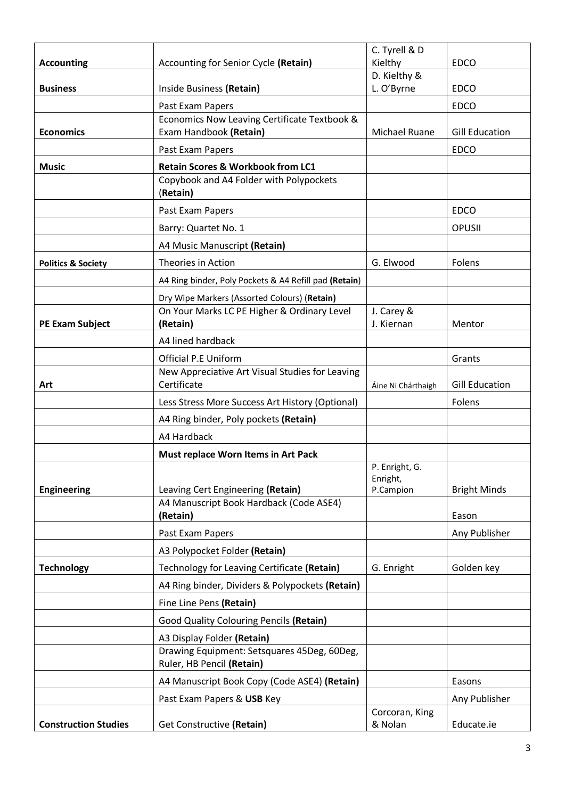|                               |                                                                                         | C. Tyrell & D                           |                       |
|-------------------------------|-----------------------------------------------------------------------------------------|-----------------------------------------|-----------------------|
| <b>Accounting</b>             | Accounting for Senior Cycle (Retain)                                                    | Kielthy                                 | <b>EDCO</b>           |
|                               |                                                                                         | D. Kielthy &                            |                       |
| <b>Business</b>               | Inside Business (Retain)                                                                | L. O'Byrne                              | <b>EDCO</b>           |
|                               | Past Exam Papers                                                                        |                                         | <b>EDCO</b>           |
|                               | Economics Now Leaving Certificate Textbook &                                            |                                         |                       |
| <b>Economics</b>              | Exam Handbook (Retain)                                                                  | <b>Michael Ruane</b>                    | <b>Gill Education</b> |
|                               | Past Exam Papers                                                                        |                                         | <b>EDCO</b>           |
| <b>Music</b>                  | <b>Retain Scores &amp; Workbook from LC1</b><br>Copybook and A4 Folder with Polypockets |                                         |                       |
|                               | (Retain)                                                                                |                                         |                       |
|                               | Past Exam Papers                                                                        |                                         | <b>EDCO</b>           |
|                               | Barry: Quartet No. 1                                                                    |                                         | OPUSII                |
|                               | A4 Music Manuscript (Retain)                                                            |                                         |                       |
| <b>Politics &amp; Society</b> | Theories in Action                                                                      | G. Elwood                               | Folens                |
|                               | A4 Ring binder, Poly Pockets & A4 Refill pad (Retain)                                   |                                         |                       |
|                               | Dry Wipe Markers (Assorted Colours) (Retain)                                            |                                         |                       |
|                               | On Your Marks LC PE Higher & Ordinary Level                                             | J. Carey &                              |                       |
| <b>PE Exam Subject</b>        | (Retain)                                                                                | J. Kiernan                              | Mentor                |
|                               | A4 lined hardback                                                                       |                                         |                       |
|                               | <b>Official P.E Uniform</b>                                                             |                                         | Grants                |
| Art                           | New Appreciative Art Visual Studies for Leaving<br>Certificate                          | Áine Ni Chárthaigh                      | <b>Gill Education</b> |
|                               | Less Stress More Success Art History (Optional)                                         |                                         | Folens                |
|                               | A4 Ring binder, Poly pockets (Retain)                                                   |                                         |                       |
|                               | A4 Hardback                                                                             |                                         |                       |
|                               | Must replace Worn Items in Art Pack                                                     |                                         |                       |
| <b>Engineering</b>            | Leaving Cert Engineering (Retain)                                                       | P. Enright, G.<br>Enright,<br>P.Campion | <b>Bright Minds</b>   |
|                               | A4 Manuscript Book Hardback (Code ASE4)                                                 |                                         |                       |
|                               | (Retain)                                                                                |                                         | Eason                 |
|                               | Past Exam Papers                                                                        |                                         | Any Publisher         |
|                               | A3 Polypocket Folder (Retain)                                                           |                                         |                       |
| <b>Technology</b>             | Technology for Leaving Certificate (Retain)                                             | G. Enright                              | Golden key            |
|                               | A4 Ring binder, Dividers & Polypockets (Retain)                                         |                                         |                       |
|                               | Fine Line Pens (Retain)                                                                 |                                         |                       |
|                               | Good Quality Colouring Pencils (Retain)                                                 |                                         |                       |
|                               | A3 Display Folder (Retain)                                                              |                                         |                       |
|                               | Drawing Equipment: Setsquares 45Deg, 60Deg,<br>Ruler, HB Pencil (Retain)                |                                         |                       |
|                               | A4 Manuscript Book Copy (Code ASE4) (Retain)                                            |                                         | Easons                |
|                               | Past Exam Papers & USB Key                                                              |                                         | Any Publisher         |
|                               |                                                                                         | Corcoran, King                          |                       |
| <b>Construction Studies</b>   | Get Constructive (Retain)                                                               | & Nolan                                 | Educate.ie            |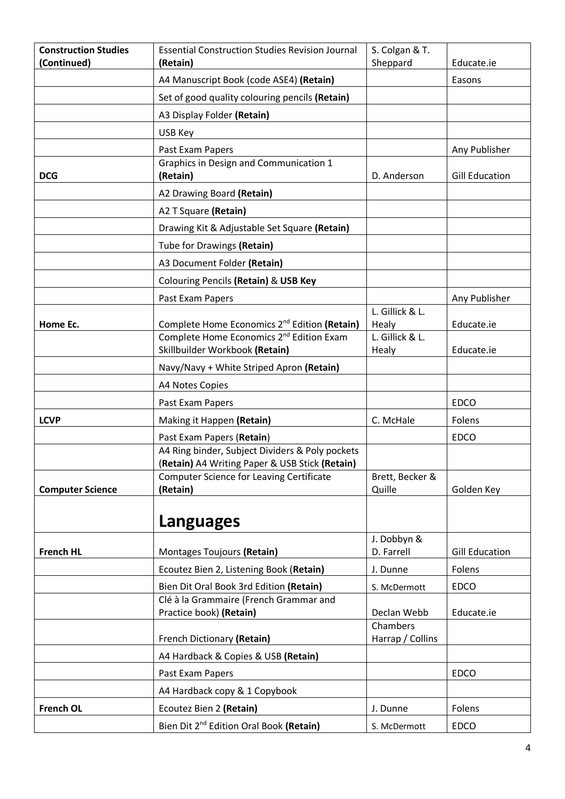| <b>Construction Studies</b><br>(Continued) | <b>Essential Construction Studies Revision Journal</b><br>(Retain)                                | S. Colgan & T.<br>Sheppard | Educate.ie            |
|--------------------------------------------|---------------------------------------------------------------------------------------------------|----------------------------|-----------------------|
|                                            | A4 Manuscript Book (code ASE4) (Retain)                                                           |                            | Easons                |
|                                            | Set of good quality colouring pencils (Retain)                                                    |                            |                       |
|                                            | A3 Display Folder (Retain)                                                                        |                            |                       |
|                                            |                                                                                                   |                            |                       |
|                                            | USB Key                                                                                           |                            |                       |
|                                            | Past Exam Papers<br>Graphics in Design and Communication 1                                        |                            | Any Publisher         |
| <b>DCG</b>                                 | (Retain)                                                                                          | D. Anderson                | <b>Gill Education</b> |
|                                            | A2 Drawing Board (Retain)                                                                         |                            |                       |
|                                            | A2 T Square (Retain)                                                                              |                            |                       |
|                                            | Drawing Kit & Adjustable Set Square (Retain)                                                      |                            |                       |
|                                            | Tube for Drawings (Retain)                                                                        |                            |                       |
|                                            | A3 Document Folder (Retain)                                                                       |                            |                       |
|                                            | Colouring Pencils (Retain) & USB Key                                                              |                            |                       |
|                                            | Past Exam Papers                                                                                  |                            | Any Publisher         |
|                                            |                                                                                                   | L. Gillick & L.            |                       |
| Home Ec.                                   | Complete Home Economics 2 <sup>nd</sup> Edition (Retain)                                          | Healy                      | Educate.ie            |
|                                            | Complete Home Economics 2 <sup>nd</sup> Edition Exam                                              | L. Gillick & L.            |                       |
|                                            | Skillbuilder Workbook (Retain)                                                                    | Healy                      | Educate.ie            |
|                                            | Navy/Navy + White Striped Apron (Retain)                                                          |                            |                       |
|                                            | A4 Notes Copies                                                                                   |                            |                       |
|                                            | Past Exam Papers                                                                                  |                            | <b>EDCO</b>           |
| <b>LCVP</b>                                | Making it Happen (Retain)                                                                         | C. McHale                  | Folens                |
|                                            | Past Exam Papers (Retain)                                                                         |                            | <b>EDCO</b>           |
|                                            | A4 Ring binder, Subject Dividers & Poly pockets<br>(Retain) A4 Writing Paper & USB Stick (Retain) |                            |                       |
|                                            | <b>Computer Science for Leaving Certificate</b>                                                   | Brett, Becker &            |                       |
| <b>Computer Science</b>                    | (Retain)                                                                                          | Quille                     | Golden Key            |
|                                            |                                                                                                   |                            |                       |
|                                            | <b>Languages</b>                                                                                  |                            |                       |
|                                            |                                                                                                   | J. Dobbyn &                |                       |
| <b>French HL</b>                           | Montages Toujours (Retain)                                                                        | D. Farrell                 | <b>Gill Education</b> |
|                                            | Ecoutez Bien 2, Listening Book (Retain)                                                           | J. Dunne                   | Folens                |
|                                            | Bien Dit Oral Book 3rd Edition (Retain)                                                           | S. McDermott               | <b>EDCO</b>           |
|                                            | Clé à la Grammaire (French Grammar and                                                            |                            |                       |
|                                            | Practice book) (Retain)                                                                           | Declan Webb<br>Chambers    | Educate.ie            |
|                                            | French Dictionary (Retain)                                                                        | Harrap / Collins           |                       |
|                                            | A4 Hardback & Copies & USB (Retain)                                                               |                            |                       |
|                                            | Past Exam Papers                                                                                  |                            | <b>EDCO</b>           |
|                                            | A4 Hardback copy & 1 Copybook                                                                     |                            |                       |
| <b>French OL</b>                           | Ecoutez Bien 2 (Retain)                                                                           | J. Dunne                   | Folens                |
|                                            | Bien Dit 2 <sup>nd</sup> Edition Oral Book (Retain)                                               | S. McDermott               | <b>EDCO</b>           |